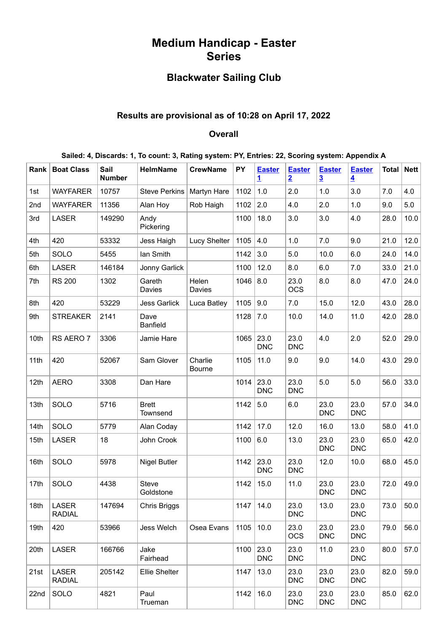# **Medium Handicap - Easter Series**

## **Blackwater Sailing Club**

## **Results are provisional as of 10:28 on April 17, 2022**

### **Overall**

| Rank | <b>Boat Class</b>             | Sail<br><b>Number</b> | <b>HelmName</b>          | <b>CrewName</b>          | PY   | <b>Easter</b><br><u>1</u> | <b>Easter</b><br>$\overline{2}$ | <b>Easter</b><br>$\overline{3}$ | <b>Easter</b><br>$\overline{\mathbf{4}}$ | Total | <b>Nett</b> |
|------|-------------------------------|-----------------------|--------------------------|--------------------------|------|---------------------------|---------------------------------|---------------------------------|------------------------------------------|-------|-------------|
| 1st  | <b>WAYFARER</b>               | 10757                 | <b>Steve Perkins</b>     | Martyn Hare              | 1102 | 1.0                       | 2.0                             | 1.0                             | 3.0                                      | 7.0   | 4.0         |
| 2nd  | <b>WAYFARER</b>               | 11356                 | Alan Hoy                 | Rob Haigh                | 1102 | 2.0                       | 4.0                             | 2.0                             | 1.0                                      | 9.0   | 5.0         |
| 3rd  | <b>LASER</b>                  | 149290                | Andy<br>Pickering        |                          | 1100 | 18.0                      | 3.0                             | 3.0                             | 4.0                                      | 28.0  | 10.0        |
| 4th  | 420                           | 53332                 | Jess Haigh               | <b>Lucy Shelter</b>      | 1105 | 4.0                       | 1.0                             | 7.0                             | 9.0                                      | 21.0  | 12.0        |
| 5th  | SOLO                          | 5455                  | lan Smith                |                          | 1142 | 3.0                       | 5.0                             | 10.0                            | 6.0                                      | 24.0  | 14.0        |
| 6th  | LASER                         | 146184                | Jonny Garlick            |                          | 1100 | 12.0                      | 8.0                             | 6.0                             | 7.0                                      | 33.0  | 21.0        |
| 7th  | <b>RS 200</b>                 | 1302                  | Gareth<br>Davies         | Helen<br>Davies          | 1046 | 8.0                       | 23.0<br><b>OCS</b>              | 8.0                             | 8.0                                      | 47.0  | 24.0        |
| 8th  | 420                           | 53229                 | <b>Jess Garlick</b>      | Luca Batley              | 1105 | 9.0                       | 7.0                             | 15.0                            | 12.0                                     | 43.0  | 28.0        |
| 9th  | <b>STREAKER</b>               | 2141                  | Dave<br><b>Banfield</b>  |                          | 1128 | 7.0                       | 10.0                            | 14.0                            | 11.0                                     | 42.0  | 28.0        |
| 10th | RS AERO 7                     | 3306                  | Jamie Hare               |                          | 1065 | 23.0<br><b>DNC</b>        | 23.0<br><b>DNC</b>              | 4.0                             | 2.0                                      | 52.0  | 29.0        |
| 11th | 420                           | 52067                 | Sam Glover               | Charlie<br><b>Bourne</b> | 1105 | 11.0                      | 9.0                             | 9.0                             | 14.0                                     | 43.0  | 29.0        |
| 12th | <b>AERO</b>                   | 3308                  | Dan Hare                 |                          | 1014 | 23.0<br><b>DNC</b>        | 23.0<br><b>DNC</b>              | 5.0                             | 5.0                                      | 56.0  | 33.0        |
| 13th | SOLO                          | 5716                  | <b>Brett</b><br>Townsend |                          | 1142 | 5.0                       | 6.0                             | 23.0<br><b>DNC</b>              | 23.0<br><b>DNC</b>                       | 57.0  | 34.0        |
| 14th | SOLO                          | 5779                  | Alan Coday               |                          | 1142 | 17.0                      | 12.0                            | 16.0                            | 13.0                                     | 58.0  | 41.0        |
| 15th | <b>LASER</b>                  | 18                    | John Crook               |                          | 1100 | 6.0                       | 13.0                            | 23.0<br><b>DNC</b>              | 23.0<br><b>DNC</b>                       | 65.0  | 42.0        |
| 16th | SOLO                          | 5978                  | <b>Nigel Butler</b>      |                          | 1142 | 23.0<br><b>DNC</b>        | 23.0<br><b>DNC</b>              | 12.0                            | 10.0                                     | 68.0  | 45.0        |
| 17th | SOLO                          | 4438                  | Steve<br>Goldstone       |                          | 1142 | 15.0                      | 11.0                            | 23.0<br><b>DNC</b>              | 23.0<br><b>DNC</b>                       | 72.0  | 49.0        |
| 18th | <b>LASER</b><br><b>RADIAL</b> | 147694                | Chris Briggs             |                          | 1147 | 14.0                      | 23.0<br><b>DNC</b>              | 13.0                            | 23.0<br><b>DNC</b>                       | 73.0  | 50.0        |
| 19th | 420                           | 53966                 | Jess Welch               | Osea Evans               | 1105 | 10.0                      | 23.0<br><b>OCS</b>              | 23.0<br><b>DNC</b>              | 23.0<br><b>DNC</b>                       | 79.0  | 56.0        |
| 20th | <b>LASER</b>                  | 166766                | Jake<br>Fairhead         |                          | 1100 | 23.0<br><b>DNC</b>        | 23.0<br><b>DNC</b>              | 11.0                            | 23.0<br><b>DNC</b>                       | 80.0  | 57.0        |
| 21st | <b>LASER</b><br><b>RADIAL</b> | 205142                | <b>Ellie Shelter</b>     |                          | 1147 | 13.0                      | 23.0<br><b>DNC</b>              | 23.0<br><b>DNC</b>              | 23.0<br><b>DNC</b>                       | 82.0  | 59.0        |
| 22nd | SOLO                          | 4821                  | Paul<br>Trueman          |                          | 1142 | 16.0                      | 23.0<br><b>DNC</b>              | 23.0<br><b>DNC</b>              | 23.0<br><b>DNC</b>                       | 85.0  | 62.0        |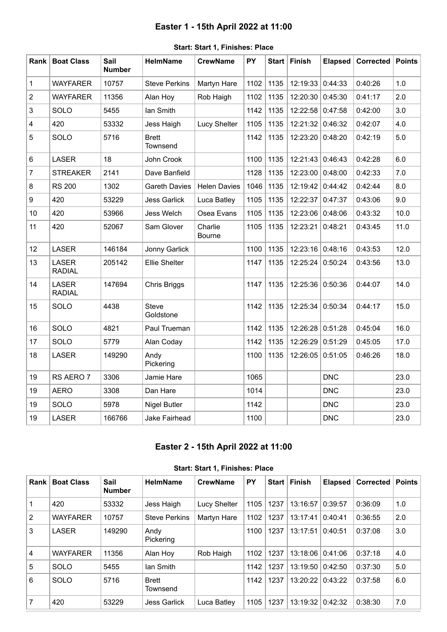## **Easter 1 - 15th April 2022 at 11:00**

<span id="page-1-0"></span>

| Rank           | <b>Boat Class</b>             | Sail<br><b>Number</b> | <b>HelmName</b>           | <b>CrewName</b>          | PY   |      | Start   Finish | <b>Elapsed</b> | <b>Corrected</b> | <b>Points</b> |
|----------------|-------------------------------|-----------------------|---------------------------|--------------------------|------|------|----------------|----------------|------------------|---------------|
| 1              | <b>WAYFARER</b>               | 10757                 | <b>Steve Perkins</b>      | Martyn Hare              | 1102 | 1135 | 12:19:33       | 0:44:33        | 0:40:26          | 1.0           |
| $\overline{c}$ | <b>WAYFARER</b>               | 11356                 | Alan Hoy                  | Rob Haigh                | 1102 | 1135 | 12:20:30       | 0:45:30        | 0:41:17          | 2.0           |
| 3              | SOLO                          | 5455                  | lan Smith                 |                          | 1142 | 1135 | 12:22:58       | 0:47:58        | 0:42:00          | 3.0           |
| $\overline{4}$ | 420                           | 53332                 | Jess Haigh                | <b>Lucy Shelter</b>      | 1105 | 1135 | 12:21:32       | 0:46:32        | 0:42:07          | 4.0           |
| 5              | SOLO                          | 5716                  | <b>Brett</b><br>Townsend  |                          | 1142 | 1135 | 12:23:20       | 0:48:20        | 0:42:19          | 5.0           |
| 6              | <b>LASER</b>                  | 18                    | John Crook                |                          | 1100 | 1135 | 12:21:43       | 0:46:43        | 0:42:28          | 6.0           |
| $\overline{7}$ | <b>STREAKER</b>               | 2141                  | Dave Banfield             |                          | 1128 | 1135 | 12:23:00       | 0:48:00        | 0:42:33          | 7.0           |
| 8              | <b>RS 200</b>                 | 1302                  | <b>Gareth Davies</b>      | <b>Helen Davies</b>      | 1046 | 1135 | 12:19:42       | 0:44:42        | 0:42:44          | 8.0           |
| 9              | 420                           | 53229                 | <b>Jess Garlick</b>       | Luca Batley              | 1105 | 1135 | 12:22:37       | 0:47:37        | 0:43:06          | 9.0           |
| 10             | 420                           | 53966                 | Jess Welch                | Osea Evans               | 1105 | 1135 | 12:23:06       | 0:48:06        | 0:43:32          | 10.0          |
| 11             | 420                           | 52067                 | Sam Glover                | Charlie<br><b>Bourne</b> | 1105 | 1135 | 12:23:21       | 0:48:21        | 0:43:45          | 11.0          |
| 12             | <b>LASER</b>                  | 146184                | Jonny Garlick             |                          | 1100 | 1135 | 12:23:16       | 0:48:16        | 0:43:53          | 12.0          |
| 13             | <b>LASER</b><br><b>RADIAL</b> | 205142                | <b>Ellie Shelter</b>      |                          | 1147 | 1135 | 12:25:24       | 0:50:24        | 0:43:56          | 13.0          |
| 14             | <b>LASER</b><br><b>RADIAL</b> | 147694                | Chris Briggs              |                          | 1147 | 1135 | 12:25:36       | 0:50:36        | 0:44:07          | 14.0          |
| 15             | SOLO                          | 4438                  | <b>Steve</b><br>Goldstone |                          | 1142 | 1135 | 12:25:34       | 0:50:34        | 0:44:17          | 15.0          |
| 16             | SOLO                          | 4821                  | Paul Trueman              |                          | 1142 | 1135 | 12:26:28       | 0:51:28        | 0:45:04          | 16.0          |
| 17             | SOLO                          | 5779                  | Alan Coday                |                          | 1142 | 1135 | 12:26:29       | 0:51:29        | 0:45:05          | 17.0          |
| 18             | <b>LASER</b>                  | 149290                | Andy<br>Pickering         |                          | 1100 | 1135 | 12:26:05       | 0:51:05        | 0:46:26          | 18.0          |
| 19             | RS AERO 7                     | 3306                  | Jamie Hare                |                          | 1065 |      |                | <b>DNC</b>     |                  | 23.0          |
| 19             | <b>AERO</b>                   | 3308                  | Dan Hare                  |                          | 1014 |      |                | <b>DNC</b>     |                  | 23.0          |
| 19             | SOLO                          | 5978                  | <b>Nigel Butler</b>       |                          | 1142 |      |                | <b>DNC</b>     |                  | 23.0          |
| 19             | LASER                         | 166766                | Jake Fairhead             |                          | 1100 |      |                | <b>DNC</b>     |                  | 23.0          |

### **Start: Start 1, Finishes: Place**

### **Easter 2 - 15th April 2022 at 11:00**

<span id="page-1-1"></span>

|      | 000 - 000 - 000 - 000 - 000 - 000 - 000 |                       |                          |                 |           |       |                  |                |           |               |  |  |  |
|------|-----------------------------------------|-----------------------|--------------------------|-----------------|-----------|-------|------------------|----------------|-----------|---------------|--|--|--|
| Rank | <b>Boat Class</b>                       | Sail<br><b>Number</b> | <b>HelmName</b>          | <b>CrewName</b> | <b>PY</b> | Start | Finish           | <b>Elapsed</b> | Corrected | <b>Points</b> |  |  |  |
|      | 420                                     | 53332                 | Jess Haigh               | Lucy Shelter    | 1105      | 1237  | 13:16:57         | 0:39:57        | 0:36:09   | 1.0           |  |  |  |
| 2    | <b>WAYFARER</b>                         | 10757                 | <b>Steve Perkins</b>     | Martyn Hare     | 1102      | 1237  | 13:17:41         | 0:40:41        | 0:36:55   | 2.0           |  |  |  |
| 3    | <b>LASER</b>                            | 149290                | Andy<br>Pickering        |                 | 1100      | 1237  | 13:17:51         | 0:40:51        | 0:37:08   | 3.0           |  |  |  |
| 4    | <b>WAYFARER</b>                         | 11356                 | Alan Hoy                 | Rob Haigh       | 1102      | 1237  | 13:18:06 0:41:06 |                | 0:37:18   | 4.0           |  |  |  |
| 5    | <b>SOLO</b>                             | 5455                  | lan Smith                |                 | 1142      | 1237  | 13:19:50         | 0:42:50        | 0:37:30   | 5.0           |  |  |  |
| 6    | <b>SOLO</b>                             | 5716                  | <b>Brett</b><br>Townsend |                 | 1142      | 1237  | 13:20:22         | 0:43:22        | 0:37:58   | 6.0           |  |  |  |
|      | 420                                     | 53229                 | <b>Jess Garlick</b>      | Luca Batley     | 1105      | 1237  | 13:19:32         | 0:42:32        | 0:38:30   | 7.0           |  |  |  |

#### **Start: Start 1, Finishes: Place**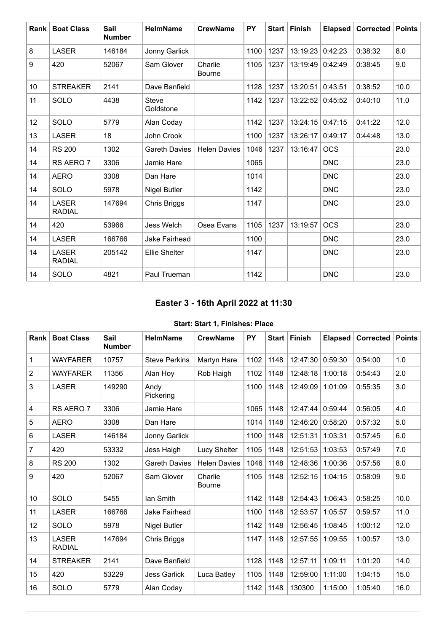| <b>Rank</b> | <b>Boat Class</b>             | Sail<br><b>Number</b> | <b>HelmName</b>           | <b>CrewName</b>          | <b>PY</b> |      | Start   Finish   | <b>Elapsed</b> | Corrected | <b>Points</b> |
|-------------|-------------------------------|-----------------------|---------------------------|--------------------------|-----------|------|------------------|----------------|-----------|---------------|
| 8           | <b>LASER</b>                  | 146184                | Jonny Garlick             |                          | 1100      | 1237 | 13:19:23         | 0:42:23        | 0:38:32   | 8.0           |
| 9           | 420                           | 52067                 | Sam Glover                | Charlie<br><b>Bourne</b> | 1105      | 1237 | 13:19:49 0:42:49 |                | 0:38:45   | 9.0           |
| 10          | <b>STREAKER</b>               | 2141                  | Dave Banfield             |                          | 1128      | 1237 | 13:20:51         | 0:43:51        | 0:38:52   | 10.0          |
| 11          | SOLO                          | 4438                  | <b>Steve</b><br>Goldstone |                          | 1142      | 1237 | 13:22:52         | 0:45:52        | 0:40:10   | 11.0          |
| 12          | SOLO                          | 5779                  | Alan Coday                |                          | 1142      | 1237 | 13:24:15         | 0:47:15        | 0:41:22   | 12.0          |
| 13          | <b>LASER</b>                  | 18                    | John Crook                |                          | 1100      | 1237 | 13:26:17         | 0:49:17        | 0:44:48   | 13.0          |
| 14          | <b>RS 200</b>                 | 1302                  | <b>Gareth Davies</b>      | <b>Helen Davies</b>      | 1046      | 1237 | 13:16:47         | <b>OCS</b>     |           | 23.0          |
| 14          | RS AERO 7                     | 3306                  | Jamie Hare                |                          | 1065      |      |                  | <b>DNC</b>     |           | 23.0          |
| 14          | <b>AERO</b>                   | 3308                  | Dan Hare                  |                          | 1014      |      |                  | <b>DNC</b>     |           | 23.0          |
| 14          | SOLO                          | 5978                  | <b>Nigel Butler</b>       |                          | 1142      |      |                  | <b>DNC</b>     |           | 23.0          |
| 14          | <b>LASER</b><br><b>RADIAL</b> | 147694                | Chris Briggs              |                          | 1147      |      |                  | <b>DNC</b>     |           | 23.0          |
| 14          | 420                           | 53966                 | Jess Welch                | Osea Evans               | 1105      | 1237 | 13:19:57         | <b>OCS</b>     |           | 23.0          |
| 14          | <b>LASER</b>                  | 166766                | Jake Fairhead             |                          | 1100      |      |                  | <b>DNC</b>     |           | 23.0          |
| 14          | <b>LASER</b><br><b>RADIAL</b> | 205142                | <b>Ellie Shelter</b>      |                          | 1147      |      |                  | <b>DNC</b>     |           | 23.0          |
| 14          | SOLO                          | 4821                  | Paul Trueman              |                          | 1142      |      |                  | <b>DNC</b>     |           | 23.0          |

## **Easter 3 - 16th April 2022 at 11:30**

### **Start: Start 1, Finishes: Place**

<span id="page-2-0"></span>

| Rank           | <b>Boat Class</b>             | <b>Sail</b><br><b>Number</b> | <b>HelmName</b>      | <b>CrewName</b>          | PY   |      | Start Finish | <b>Elapsed</b> | <b>Corrected</b> | <b>Points</b> |
|----------------|-------------------------------|------------------------------|----------------------|--------------------------|------|------|--------------|----------------|------------------|---------------|
| $\mathbf 1$    | <b>WAYFARER</b>               | 10757                        | <b>Steve Perkins</b> | Martyn Hare              | 1102 | 1148 | 12:47:30     | 0:59:30        | 0:54:00          | 1.0           |
| $\overline{c}$ | <b>WAYFARER</b>               | 11356                        | Alan Hoy             | Rob Haigh                | 1102 | 1148 | 12:48:18     | 1:00:18        | 0:54:43          | 2.0           |
| 3              | <b>LASER</b>                  | 149290                       | Andy<br>Pickering    |                          | 1100 | 1148 | 12:49:09     | 1:01:09        | 0:55:35          | 3.0           |
| 4              | RS AERO 7                     | 3306                         | Jamie Hare           |                          | 1065 | 1148 | 12:47:44     | 0:59:44        | 0:56:05          | 4.0           |
| $\overline{5}$ | <b>AERO</b>                   | 3308                         | Dan Hare             |                          | 1014 | 1148 | 12:46:20     | 0:58:20        | 0:57:32          | 5.0           |
| 6              | <b>LASER</b>                  | 146184                       | Jonny Garlick        |                          | 1100 | 1148 | 12:51:31     | 1:03:31        | 0:57:45          | 6.0           |
| $\overline{7}$ | 420                           | 53332                        | Jess Haigh           | Lucy Shelter             | 1105 | 1148 | 12:51:53     | 1:03:53        | 0:57:49          | 7.0           |
| 8              | <b>RS 200</b>                 | 1302                         | <b>Gareth Davies</b> | <b>Helen Davies</b>      | 1046 | 1148 | 12:48:36     | 1:00:36        | 0:57:56          | 8.0           |
| 9              | 420                           | 52067                        | Sam Glover           | Charlie<br><b>Bourne</b> | 1105 | 1148 | 12:52:15     | 1:04:15        | 0:58:09          | 9.0           |
| 10             | SOLO                          | 5455                         | lan Smith            |                          | 1142 | 1148 | 12:54:43     | 1:06:43        | 0:58:25          | 10.0          |
| 11             | <b>LASER</b>                  | 166766                       | Jake Fairhead        |                          | 1100 | 1148 | 12:53:57     | 1:05:57        | 0:59:57          | 11.0          |
| 12             | SOLO                          | 5978                         | <b>Nigel Butler</b>  |                          | 1142 | 1148 | 12:56:45     | 1:08:45        | 1:00:12          | 12.0          |
| 13             | <b>LASER</b><br><b>RADIAL</b> | 147694                       | Chris Briggs         |                          | 1147 | 1148 | 12:57:55     | 1:09:55        | 1:00:57          | 13.0          |
| 14             | <b>STREAKER</b>               | 2141                         | Dave Banfield        |                          | 1128 | 1148 | 12:57:11     | 1:09:11        | 1:01:20          | 14.0          |
| 15             | 420                           | 53229                        | <b>Jess Garlick</b>  | Luca Batley              | 1105 | 1148 | 12:59:00     | 1:11:00        | 1:04:15          | 15.0          |
| 16             | SOLO                          | 5779                         | Alan Coday           |                          | 1142 | 1148 | 130300       | 1:15:00        | 1:05:40          | 16.0          |